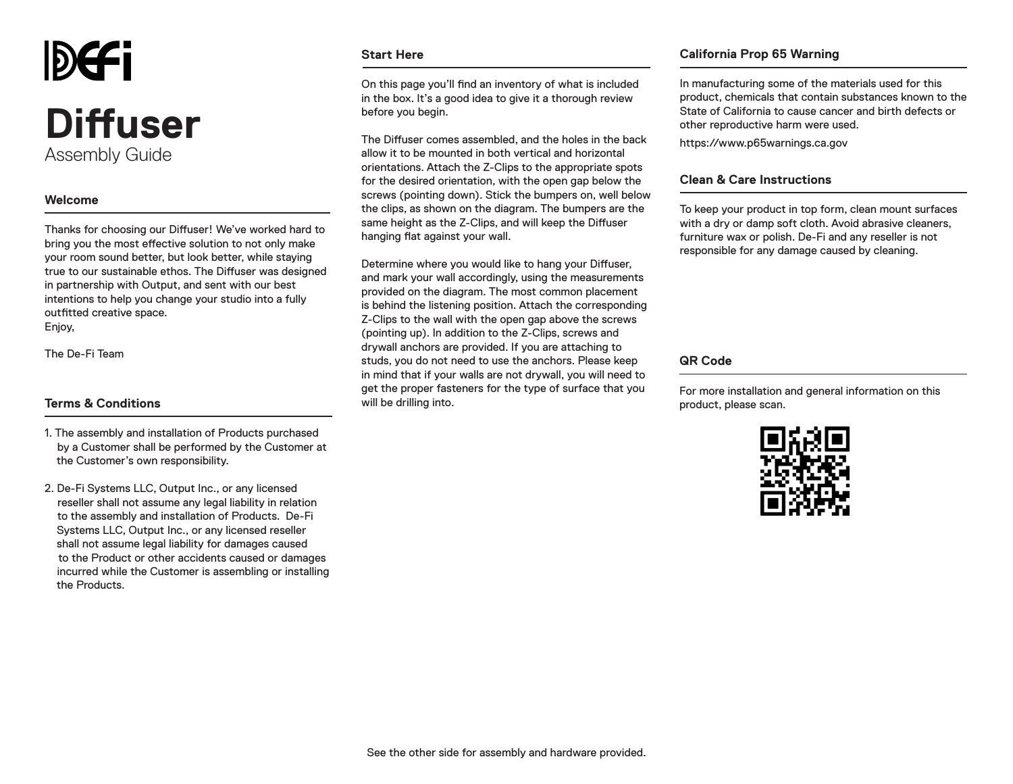

## **Welcome**

Thanks for choosing our Diffuser! We've worked hard to bring you the most effective solution to not only make your room sound better, but look better, while staying true to our sustainable ethos. The Diffuser was designed in partnership with Output, and sent with our best intentions to help you change your studio into a fully outfitted creative space. Enjoy,

The De-Fi Team

### **Terms & Conditions**

- 1. The assembly and installation of Products purchased by a Customer shall be performed by the Customer at the Customer's own responsibility.
- 2. De-Fi Systems LLC, Output Inc., or any licensed reseller shall not assume any legal liability in relation to the assembly and installation of Products. De-Fi Systems LLC, Output Inc., or any licensed reseller shall not assume legal liability for damages caused to the Product or other accidents caused or damages incurred while the Customer is assembling or installing the Products.

#### **Start Here**

On this page you'll find an inventory of what is included in the box. It's a good idea to give it a thorough review before you begin.

The Diffuser comes assembled, and the holes in the back allow it to be mounted in both vertical and horizontal orientations. Attach the Z-Clips to the appropriate spots for the desired orientation, with the open gap below the screws (pointing down). Stick the bumpers on, well below the clips, as shown on the diagram. The bumpers are the same height as the Z-Clips, and will keep the Diffuser hanging flat against your wall.

Determine where you would like to hang your Diffuser, and mark your wall accordingly, using the measurements provided on the diagram. The most common placement is behind the listening position. Attach the corresponding Z-Clips to the wall with the open gap above the screws (pointing up). In addition to the Z-Clips, screws and drywall anchors are provided. If you are attaching to studs, you do not need to use the anchors. Please keep in mind that if your walls are not drywall, you will need to get the proper fasteners for the type of surface that you will be drilling into.

### **California Prop 65 Warning**

In manufacturing some of the materials used for this product, chemicals that contain substances known to the State of California to cause cancer and birth defects or other reproductive harm were used.

https://www.p65warnings.ca.gov

### **Clean & Care Instructions**

To keep your product in top form, clean mount surfaces with a dry or damp soft cloth. Avoid abrasive cleaners, furniture wax or polish. De-Fi and any reseller is not responsible for any damage caused by cleaning.

### **QR Code**

For more installation and general information on this product, please scan.